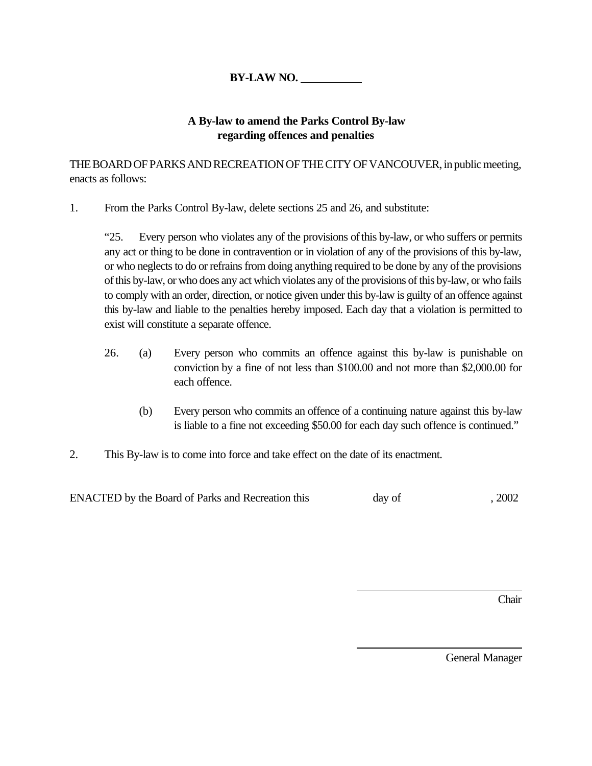## **BY-LAW NO.**

## **A By-law to amend the Parks Control By-law regarding offences and penalties**

THE BOARD OF PARKS AND RECREATION OF THE CITY OF VANCOUVER, in public meeting, enacts as follows:

1. From the Parks Control By-law, delete sections 25 and 26, and substitute:

"25. Every person who violates any of the provisions of this by-law, or who suffers or permits any act or thing to be done in contravention or in violation of any of the provisions of this by-law, or who neglects to do or refrains from doing anything required to be done by any of the provisions of this by-law, or who does any act which violates any of the provisions of this by-law, or who fails to comply with an order, direction, or notice given under this by-law is guilty of an offence against this by-law and liable to the penalties hereby imposed. Each day that a violation is permitted to exist will constitute a separate offence.

- 26. (a) Every person who commits an offence against this by-law is punishable on conviction by a fine of not less than \$100.00 and not more than \$2,000.00 for each offence.
	- (b) Every person who commits an offence of a continuing nature against this by-law is liable to a fine not exceeding \$50.00 for each day such offence is continued."

 $\overline{a}$ 

 $\overline{a}$ 

2. This By-law is to come into force and take effect on the date of its enactment.

ENACTED by the Board of Parks and Recreation this day of , 2002

Chair

General Manager